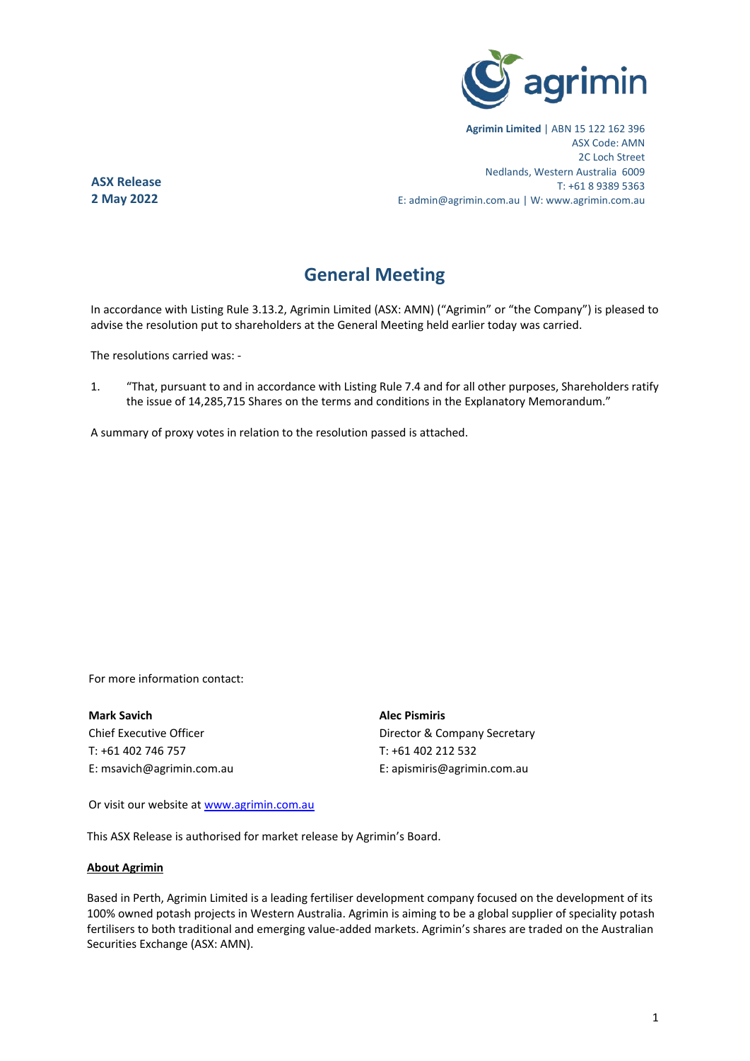

**Agrimin Limited** | ABN 15 122 162 396 ASX Code: AMN 2C Loch Street Nedlands, Western Australia 6009 T: +61 8 9389 5363 E: admin@agrimin.com.au | W: www.agrimin.com.au

**General Meeting**

In accordance with Listing Rule 3.13.2, Agrimin Limited (ASX: AMN) ("Agrimin" or "the Company") is pleased to advise the resolution put to shareholders at the General Meeting held earlier today was carried.

The resolutions carried was: -

**ASX Release 2 May 2022**

1. "That, pursuant to and in accordance with Listing Rule 7.4 and for all other purposes, Shareholders ratify the issue of 14,285,715 Shares on the terms and conditions in the Explanatory Memorandum."

A summary of proxy votes in relation to the resolution passed is attached.

For more information contact:

**Mark Savich Alec Pismiris** T: +61 402 746 757 T: +61 402 212 532

Chief Executive Officer **Director & Company Secretary** E: msavich@agrimin.com.au E: apismiris@agrimin.com.au

Or visit our website at [www.agrimin.com.au](http://www.grcl.com.au/)

This ASX Release is authorised for market release by Agrimin's Board.

## **About Agrimin**

Based in Perth, Agrimin Limited is a leading fertiliser development company focused on the development of its 100% owned potash projects in Western Australia. Agrimin is aiming to be a global supplier of speciality potash fertilisers to both traditional and emerging value-added markets. Agrimin's shares are traded on the Australian Securities Exchange (ASX: AMN).

1